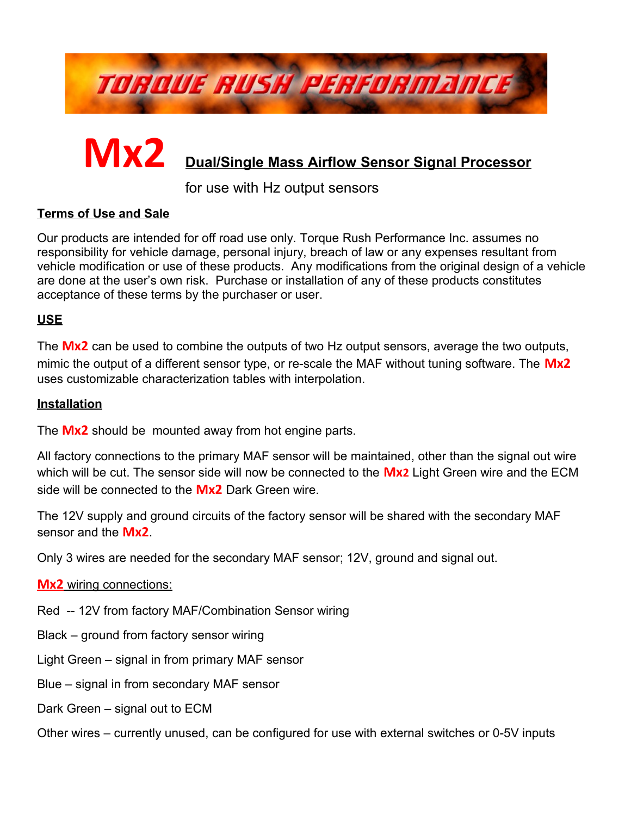

# **Mx2 Dual/Single Mass Airflow Sensor Signal Processor**

for use with Hz output sensors

## **Terms of Use and Sale**

Our products are intended for off road use only. Torque Rush Performance Inc. assumes no responsibility for vehicle damage, personal injury, breach of law or any expenses resultant from vehicle modification or use of these products. Any modifications from the original design of a vehicle are done at the user's own risk. Purchase or installation of any of these products constitutes acceptance of these terms by the purchaser or user.

## **USE**

The **Mx2** can be used to combine the outputs of two Hz output sensors, average the two outputs, mimic the output of a different sensor type, or re-scale the MAF without tuning software. The **Mx2** uses customizable characterization tables with interpolation.

#### **Installation**

The **Mx2** should be mounted away from hot engine parts.

All factory connections to the primary MAF sensor will be maintained, other than the signal out wire which will be cut. The sensor side will now be connected to the **Mx2** Light Green wire and the ECM side will be connected to the **Mx2** Dark Green wire.

The 12V supply and ground circuits of the factory sensor will be shared with the secondary MAF sensor and the **Mx2**.

Only 3 wires are needed for the secondary MAF sensor; 12V, ground and signal out.

**Mx2** wiring connections:

Red -- 12V from factory MAF/Combination Sensor wiring

- Black ground from factory sensor wiring
- Light Green signal in from primary MAF sensor
- Blue signal in from secondary MAF sensor
- Dark Green signal out to ECM
- Other wires currently unused, can be configured for use with external switches or 0-5V inputs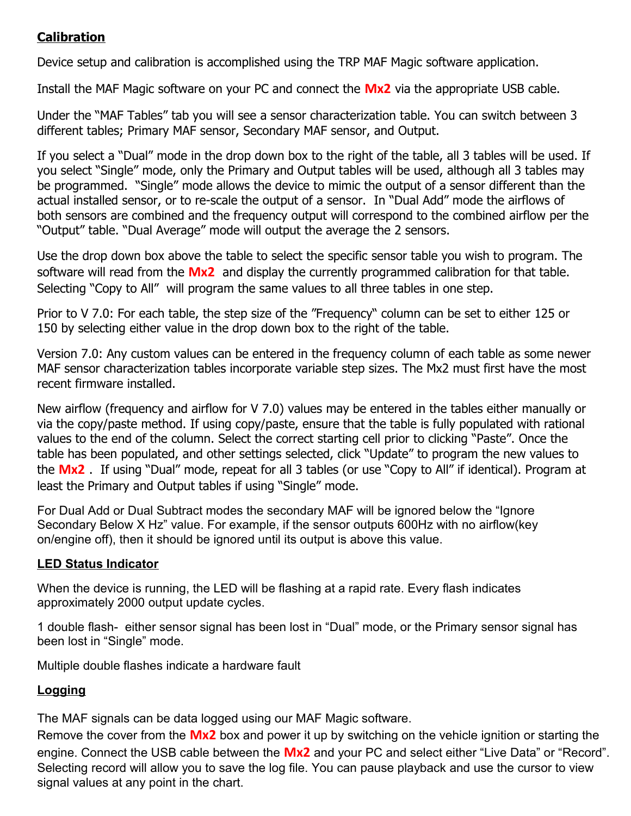## **Calibration**

Device setup and calibration is accomplished using the TRP MAF Magic software application.

Install the MAF Magic software on your PC and connect the **Mx2** via the appropriate USB cable.

Under the "MAF Tables" tab you will see a sensor characterization table. You can switch between 3 different tables; Primary MAF sensor, Secondary MAF sensor, and Output.

If you select a "Dual" mode in the drop down box to the right of the table, all 3 tables will be used. If you select "Single" mode, only the Primary and Output tables will be used, although all 3 tables may be programmed. "Single" mode allows the device to mimic the output of a sensor different than the actual installed sensor, or to re-scale the output of a sensor. In "Dual Add" mode the airflows of both sensors are combined and the frequency output will correspond to the combined airflow per the "Output" table. "Dual Average" mode will output the average the 2 sensors.

Use the drop down box above the table to select the specific sensor table you wish to program. The software will read from the **Mx2** and display the currently programmed calibration for that table. Selecting "Copy to All" will program the same values to all three tables in one step.

Prior to V 7.0: For each table, the step size of the "Frequency" column can be set to either 125 or 150 by selecting either value in the drop down box to the right of the table.

Version 7.0: Any custom values can be entered in the frequency column of each table as some newer MAF sensor characterization tables incorporate variable step sizes. The Mx2 must first have the most recent firmware installed.

New airflow (frequency and airflow for V 7.0) values may be entered in the tables either manually or via the copy/paste method. If using copy/paste, ensure that the table is fully populated with rational values to the end of the column. Select the correct starting cell prior to clicking "Paste". Once the table has been populated, and other settings selected, click "Update" to program the new values to the **Mx2** . If using "Dual" mode, repeat for all 3 tables (or use "Copy to All" if identical). Program at least the Primary and Output tables if using "Single" mode.

For Dual Add or Dual Subtract modes the secondary MAF will be ignored below the "Ignore Secondary Below X Hz" value. For example, if the sensor outputs 600Hz with no airflow(key on/engine off), then it should be ignored until its output is above this value.

## **LED Status Indicator**

When the device is running, the LED will be flashing at a rapid rate. Every flash indicates approximately 2000 output update cycles.

1 double flash- either sensor signal has been lost in "Dual" mode, or the Primary sensor signal has been lost in "Single" mode.

Multiple double flashes indicate a hardware fault

## **Logging**

The MAF signals can be data logged using our MAF Magic software.

Remove the cover from the **Mx2** box and power it up by switching on the vehicle ignition or starting the engine. Connect the USB cable between the **Mx2** and your PC and select either "Live Data" or "Record". Selecting record will allow you to save the log file. You can pause playback and use the cursor to view signal values at any point in the chart.